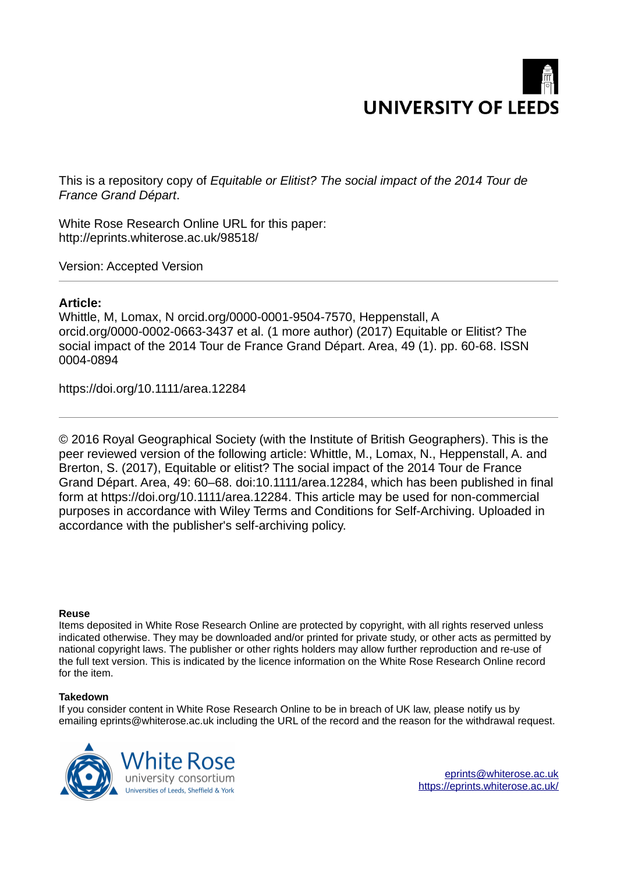

This is a repository copy of *Equitable or Elitist? The social impact of the 2014 Tour de France Grand Départ*.

White Rose Research Online URL for this paper: http://eprints.whiterose.ac.uk/98518/

Version: Accepted Version

#### **Article:**

Whittle, M, Lomax, N orcid.org/0000-0001-9504-7570, Heppenstall, A orcid.org/0000-0002-0663-3437 et al. (1 more author) (2017) Equitable or Elitist? The social impact of the 2014 Tour de France Grand Départ. Area, 49 (1). pp. 60-68. ISSN 0004-0894

https://doi.org/10.1111/area.12284

© 2016 Royal Geographical Society (with the Institute of British Geographers). This is the peer reviewed version of the following article: Whittle, M., Lomax, N., Heppenstall, A. and Brerton, S. (2017), Equitable or elitist? The social impact of the 2014 Tour de France Grand Départ. Area, 49: 60–68. doi:10.1111/area.12284, which has been published in final form at https://doi.org/10.1111/area.12284. This article may be used for non-commercial purposes in accordance with Wiley Terms and Conditions for Self-Archiving. Uploaded in accordance with the publisher's self-archiving policy.

#### **Reuse**

Items deposited in White Rose Research Online are protected by copyright, with all rights reserved unless indicated otherwise. They may be downloaded and/or printed for private study, or other acts as permitted by national copyright laws. The publisher or other rights holders may allow further reproduction and re-use of the full text version. This is indicated by the licence information on the White Rose Research Online record for the item.

#### **Takedown**

If you consider content in White Rose Research Online to be in breach of UK law, please notify us by emailing eprints@whiterose.ac.uk including the URL of the record and the reason for the withdrawal request.

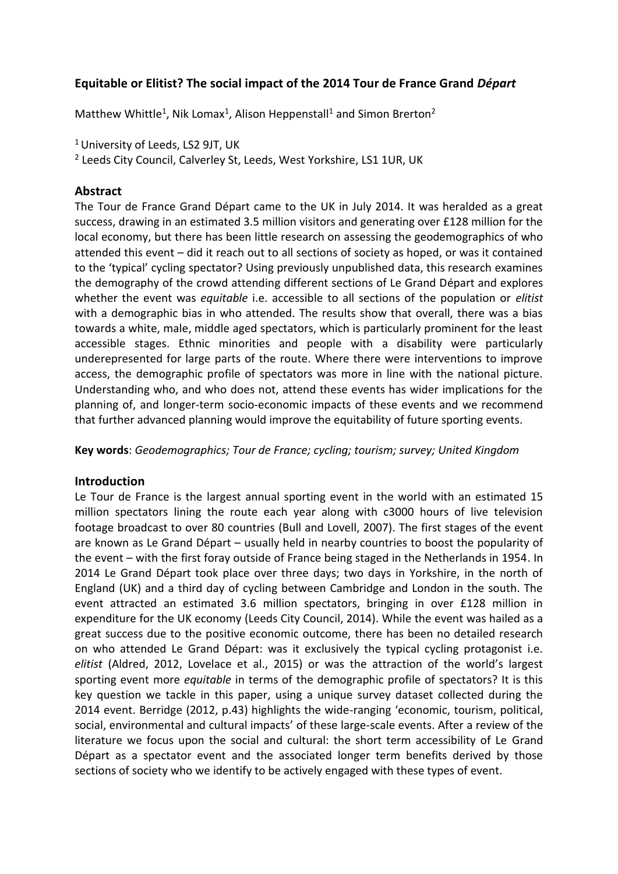# **Equitable or Elitist? The social impact of the 2014 Tour de France Grand** *DÈpart*

Matthew Whittle<sup>1</sup>, Nik Lomax<sup>1</sup>, Alison Heppenstall<sup>1</sup> and Simon Brerton<sup>2</sup>

<sup>1</sup> University of Leeds, LS2 9JT, UK

<sup>2</sup> Leeds City Council, Calverley St, Leeds, West Yorkshire, LS1 1UR, UK

# **Abstract**

The Tour de France Grand DÈpart came to the UK in July 2014. It was heralded as a great success, drawing in an estimated 3.5 million visitors and generating over £128 million for the local economy, but there has been little research on assessing the geodemographics of who attended this event  $-$  did it reach out to all sections of society as hoped, or was it contained to the 'typical' cycling spectator? Using previously unpublished data, this research examines the demography of the crowd attending different sections of Le Grand Départ and explores whether the event was *equitable* i.e. accessible to all sections of the population or *elitist* with a demographic bias in who attended. The results show that overall, there was a bias towards a white, male, middle aged spectators, which is particularly prominent for the least accessible stages. Ethnic minorities and people with a disability were particularly underepresented for large parts of the route. Where there were interventions to improve access, the demographic profile of spectators was more in line with the national picture. Understanding who, and who does not, attend these events has wider implications for the planning of, and longer-term socio-economic impacts of these events and we recommend that further advanced planning would improve the equitability of future sporting events.

**Key words**: *Geodemographics; Tour de France; cycling; tourism; survey; United Kingdom* 

## **Introduction**

Le Tour de France is the largest annual sporting event in the world with an estimated 15 million spectators lining the route each year along with c3000 hours of live television footage broadcast to over 80 countries (Bull and Lovell, 2007). The first stages of the event are known as Le Grand Départ – usually held in nearby countries to boost the popularity of the event – with the first foray outside of France being staged in the Netherlands in 1954. In 2014 Le Grand DÈpart took place over three days; two days in Yorkshire, in the north of England (UK) and a third day of cycling between Cambridge and London in the south. The event attracted an estimated 3.6 million spectators, bringing in over £128 million in expenditure for the UK economy (Leeds City Council, 2014). While the event was hailed as a great success due to the positive economic outcome, there has been no detailed research on who attended Le Grand DÈpart: was it exclusively the typical cycling protagonist i.e. *elitist* (Aldred, 2012, Lovelace et al., 2015) or was the attraction of the world's largest sporting event more *equitable* in terms of the demographic profile of spectators? It is this key question we tackle in this paper, using a unique survey dataset collected during the 2014 event. Berridge (2012, p.43) highlights the wide-ranging 'economic, tourism, political, social, environmental and cultural impacts' of these large-scale events. After a review of the literature we focus upon the social and cultural: the short term accessibility of Le Grand Départ as a spectator event and the associated longer term benefits derived by those sections of society who we identify to be actively engaged with these types of event.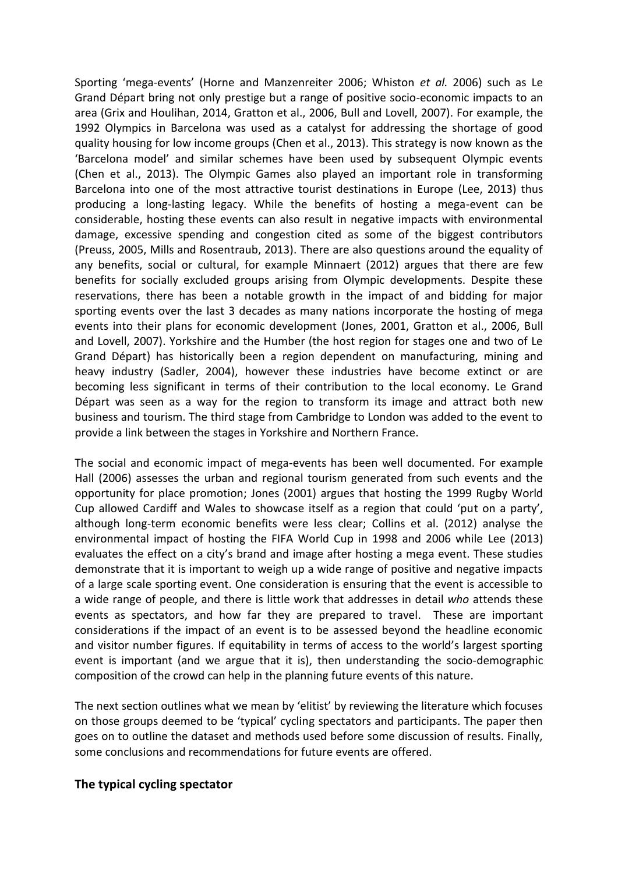Sporting 'mega-events' (Horne and Manzenreiter 2006; Whiston et al. 2006) such as Le Grand DÈpart bring not only prestige but a range of positive socio-economic impacts to an area (Grix and Houlihan, 2014, Gratton et al., 2006, Bull and Lovell, 2007). For example, the 1992 Olympics in Barcelona was used as a catalyst for addressing the shortage of good quality housing for low income groups (Chen et al., 2013). This strategy is now known as the 'Barcelona model' and similar schemes have been used by subsequent Olympic events (Chen et al., 2013). The Olympic Games also played an important role in transforming Barcelona into one of the most attractive tourist destinations in Europe (Lee, 2013) thus producing a long-lasting legacy. While the benefits of hosting a mega-event can be considerable, hosting these events can also result in negative impacts with environmental damage, excessive spending and congestion cited as some of the biggest contributors (Preuss, 2005, Mills and Rosentraub, 2013). There are also questions around the equality of any benefits, social or cultural, for example Minnaert (2012) argues that there are few benefits for socially excluded groups arising from Olympic developments. Despite these reservations, there has been a notable growth in the impact of and bidding for major sporting events over the last 3 decades as many nations incorporate the hosting of mega events into their plans for economic development (Jones, 2001, Gratton et al., 2006, Bull and Lovell, 2007). Yorkshire and the Humber (the host region for stages one and two of Le Grand DÈpart) has historically been a region dependent on manufacturing, mining and heavy industry (Sadler, 2004), however these industries have become extinct or are becoming less significant in terms of their contribution to the local economy. Le Grand Départ was seen as a way for the region to transform its image and attract both new business and tourism. The third stage from Cambridge to London was added to the event to provide a link between the stages in Yorkshire and Northern France.

The social and economic impact of mega-events has been well documented. For example Hall (2006) assesses the urban and regional tourism generated from such events and the opportunity for place promotion; Jones (2001) argues that hosting the 1999 Rugby World Cup allowed Cardiff and Wales to showcase itself as a region that could 'put on a party', although long-term economic benefits were less clear; Collins et al. (2012) analyse the environmental impact of hosting the FIFA World Cup in 1998 and 2006 while Lee (2013) evaluates the effect on a city's brand and image after hosting a mega event. These studies demonstrate that it is important to weigh up a wide range of positive and negative impacts of a large scale sporting event. One consideration is ensuring that the event is accessible to a wide range of people, and there is little work that addresses in detail *who* attends these events as spectators, and how far they are prepared to travel. These are important considerations if the impact of an event is to be assessed beyond the headline economic and visitor number figures. If equitability in terms of access to the world's largest sporting event is important (and we argue that it is), then understanding the socio-demographic composition of the crowd can help in the planning future events of this nature.

The next section outlines what we mean by 'elitist' by reviewing the literature which focuses on those groups deemed to be 'typical' cycling spectators and participants. The paper then goes on to outline the dataset and methods used before some discussion of results. Finally, some conclusions and recommendations for future events are offered.

## **The typical cycling spectator**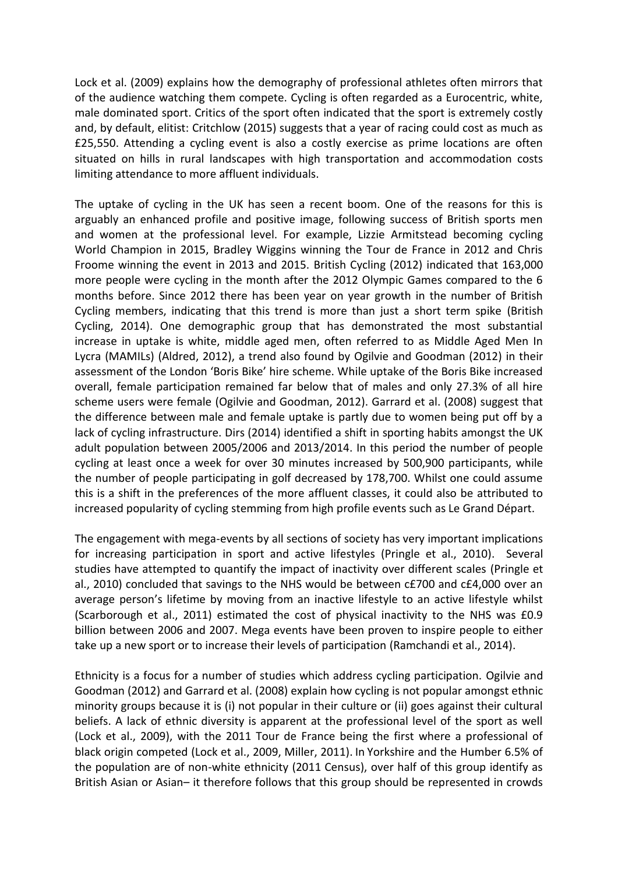Lock et al. (2009) explains how the demography of professional athletes often mirrors that of the audience watching them compete. Cycling is often regarded as a Eurocentric, white, male dominated sport. Critics of the sport often indicated that the sport is extremely costly and, by default, elitist: Critchlow (2015) suggests that a year of racing could cost as much as £25,550. Attending a cycling event is also a costly exercise as prime locations are often situated on hills in rural landscapes with high transportation and accommodation costs limiting attendance to more affluent individuals.

The uptake of cycling in the UK has seen a recent boom. One of the reasons for this is arguably an enhanced profile and positive image, following success of British sports men and women at the professional level. For example, Lizzie Armitstead becoming cycling World Champion in 2015, Bradley Wiggins winning the Tour de France in 2012 and Chris Froome winning the event in 2013 and 2015. British Cycling (2012) indicated that 163,000 more people were cycling in the month after the 2012 Olympic Games compared to the 6 months before. Since 2012 there has been year on year growth in the number of British Cycling members, indicating that this trend is more than just a short term spike (British Cycling, 2014). One demographic group that has demonstrated the most substantial increase in uptake is white, middle aged men, often referred to as Middle Aged Men In Lycra (MAMILs) (Aldred, 2012), a trend also found by Ogilvie and Goodman (2012) in their assessment of the London 'Boris Bike' hire scheme. While uptake of the Boris Bike increased overall, female participation remained far below that of males and only 27.3% of all hire scheme users were female (Ogilvie and Goodman, 2012). Garrard et al. (2008) suggest that the difference between male and female uptake is partly due to women being put off by a lack of cycling infrastructure. Dirs (2014) identified a shift in sporting habits amongst the UK adult population between 2005/2006 and 2013/2014. In this period the number of people cycling at least once a week for over 30 minutes increased by 500,900 participants, while the number of people participating in golf decreased by 178,700. Whilst one could assume this is a shift in the preferences of the more affluent classes, it could also be attributed to increased popularity of cycling stemming from high profile events such as Le Grand Départ.

The engagement with mega-events by all sections of society has very important implications for increasing participation in sport and active lifestyles (Pringle et al., 2010). Several studies have attempted to quantify the impact of inactivity over different scales (Pringle et al., 2010) concluded that savings to the NHS would be between c£700 and c£4,000 over an average person's lifetime by moving from an inactive lifestyle to an active lifestyle whilst (Scarborough et al., 2011) estimated the cost of physical inactivity to the NHS was £0.9 billion between 2006 and 2007. Mega events have been proven to inspire people to either take up a new sport or to increase their levels of participation (Ramchandi et al., 2014).

Ethnicity is a focus for a number of studies which address cycling participation. Ogilvie and Goodman (2012) and Garrard et al. (2008) explain how cycling is not popular amongst ethnic minority groups because it is (i) not popular in their culture or (ii) goes against their cultural beliefs. A lack of ethnic diversity is apparent at the professional level of the sport as well (Lock et al., 2009), with the 2011 Tour de France being the first where a professional of black origin competed (Lock et al., 2009, Miller, 2011). In Yorkshire and the Humber 6.5% of the population are of non-white ethnicity (2011 Census), over half of this group identify as British Asian or Asian- it therefore follows that this group should be represented in crowds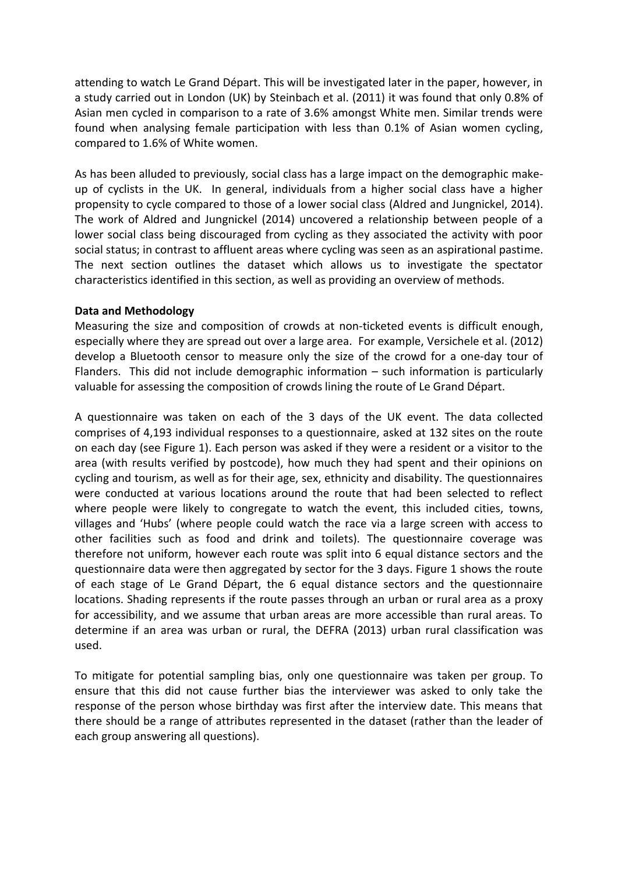attending to watch Le Grand Départ. This will be investigated later in the paper, however, in a study carried out in London (UK) by Steinbach et al. (2011) it was found that only 0.8% of Asian men cycled in comparison to a rate of 3.6% amongst White men. Similar trends were found when analysing female participation with less than 0.1% of Asian women cycling, compared to 1.6% of White women.

As has been alluded to previously, social class has a large impact on the demographic makeup of cyclists in the UK. In general, individuals from a higher social class have a higher propensity to cycle compared to those of a lower social class (Aldred and Jungnickel, 2014). The work of Aldred and Jungnickel (2014) uncovered a relationship between people of a lower social class being discouraged from cycling as they associated the activity with poor social status; in contrast to affluent areas where cycling was seen as an aspirational pastime. The next section outlines the dataset which allows us to investigate the spectator characteristics identified in this section, as well as providing an overview of methods.

## **Data and Methodology**

Measuring the size and composition of crowds at non-ticketed events is difficult enough, especially where they are spread out over a large area. For example, Versichele et al. (2012) develop a Bluetooth censor to measure only the size of the crowd for a one-day tour of Flanders. This did not include demographic information  $-$  such information is particularly valuable for assessing the composition of crowds lining the route of Le Grand Départ.

A questionnaire was taken on each of the 3 days of the UK event. The data collected comprises of 4,193 individual responses to a questionnaire, asked at 132 sites on the route on each day (see Figure 1). Each person was asked if they were a resident or a visitor to the area (with results verified by postcode), how much they had spent and their opinions on cycling and tourism, as well as for their age, sex, ethnicity and disability. The questionnaires were conducted at various locations around the route that had been selected to reflect where people were likely to congregate to watch the event, this included cities, towns, villages and 'Hubs' (where people could watch the race via a large screen with access to other facilities such as food and drink and toilets). The questionnaire coverage was therefore not uniform, however each route was split into 6 equal distance sectors and the questionnaire data were then aggregated by sector for the 3 days. Figure 1 shows the route of each stage of Le Grand DÈpart, the 6 equal distance sectors and the questionnaire locations. Shading represents if the route passes through an urban or rural area as a proxy for accessibility, and we assume that urban areas are more accessible than rural areas. To determine if an area was urban or rural, the DEFRA (2013) urban rural classification was used.

To mitigate for potential sampling bias, only one questionnaire was taken per group. To ensure that this did not cause further bias the interviewer was asked to only take the response of the person whose birthday was first after the interview date. This means that there should be a range of attributes represented in the dataset (rather than the leader of each group answering all questions).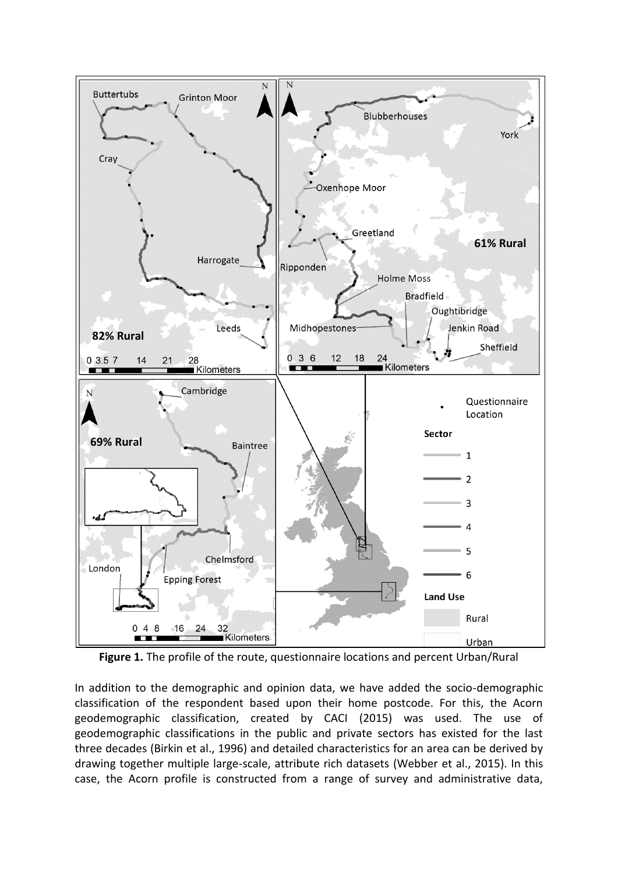

**Figure 1.** The profile of the route, questionnaire locations and percent Urban/Rural

In addition to the demographic and opinion data, we have added the socio-demographic classification of the respondent based upon their home postcode. For this, the Acorn geodemographic classification, created by CACI (2015) was used. The use of geodemographic classifications in the public and private sectors has existed for the last three decades (Birkin et al., 1996) and detailed characteristics for an area can be derived by drawing together multiple large-scale, attribute rich datasets (Webber et al., 2015). In this case, the Acorn profile is constructed from a range of survey and administrative data,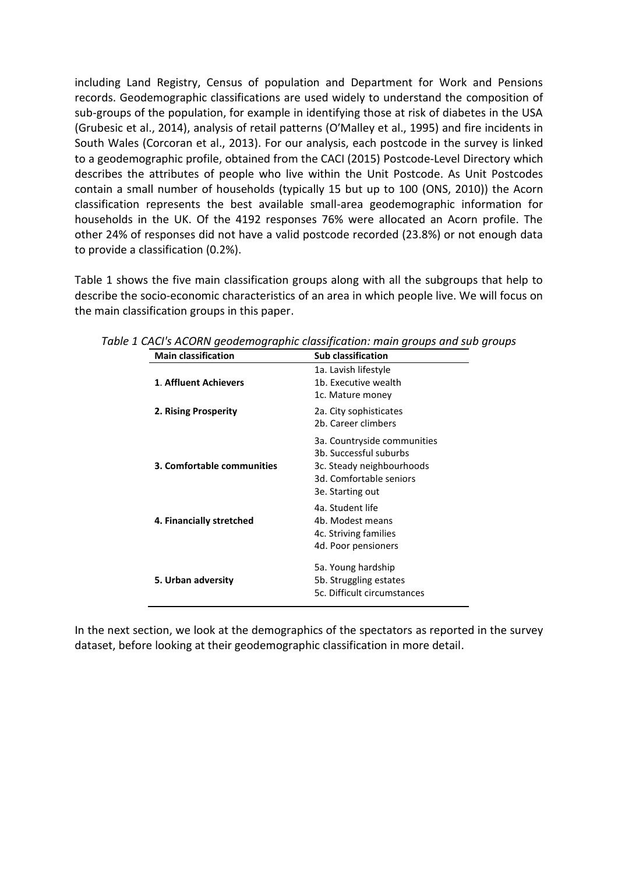including Land Registry, Census of population and Department for Work and Pensions records. Geodemographic classifications are used widely to understand the composition of sub-groups of the population, for example in identifying those at risk of diabetes in the USA (Grubesic et al., 2014), analysis of retail patterns (O'Malley et al., 1995) and fire incidents in South Wales (Corcoran et al., 2013). For our analysis, each postcode in the survey is linked to a geodemographic profile, obtained from the CACI (2015) Postcode-Level Directory which describes the attributes of people who live within the Unit Postcode. As Unit Postcodes contain a small number of households (typically 15 but up to 100 (ONS, 2010)) the Acorn classification represents the best available small-area geodemographic information for households in the UK. Of the 4192 responses 76% were allocated an Acorn profile. The other 24% of responses did not have a valid postcode recorded (23.8%) or not enough data to provide a classification (0.2%).

Table 1 shows the five main classification groups along with all the subgroups that help to describe the socio-economic characteristics of an area in which people live. We will focus on the main classification groups in this paper.

| <b>Main classification</b> | <b>Sub classification</b>                                                                                                         |
|----------------------------|-----------------------------------------------------------------------------------------------------------------------------------|
| 1. Affluent Achievers      | 1a. Lavish lifestyle<br>1b. Executive wealth<br>1c. Mature money                                                                  |
| 2. Rising Prosperity       | 2a. City sophisticates<br>2b. Career climbers                                                                                     |
| 3. Comfortable communities | 3a. Countryside communities<br>3b. Successful suburbs<br>3c. Steady neighbourhoods<br>3d. Comfortable seniors<br>3e. Starting out |
| 4. Financially stretched   | 4a. Student life<br>4b. Modest means<br>4c. Striving families<br>4d. Poor pensioners                                              |
| 5. Urban adversity         | 5a. Young hardship<br>5b. Struggling estates<br>5c. Difficult circumstances                                                       |

*Table 1 CACI's ACORN geodemographic classification: main groups and sub groups* 

In the next section, we look at the demographics of the spectators as reported in the survey dataset, before looking at their geodemographic classification in more detail.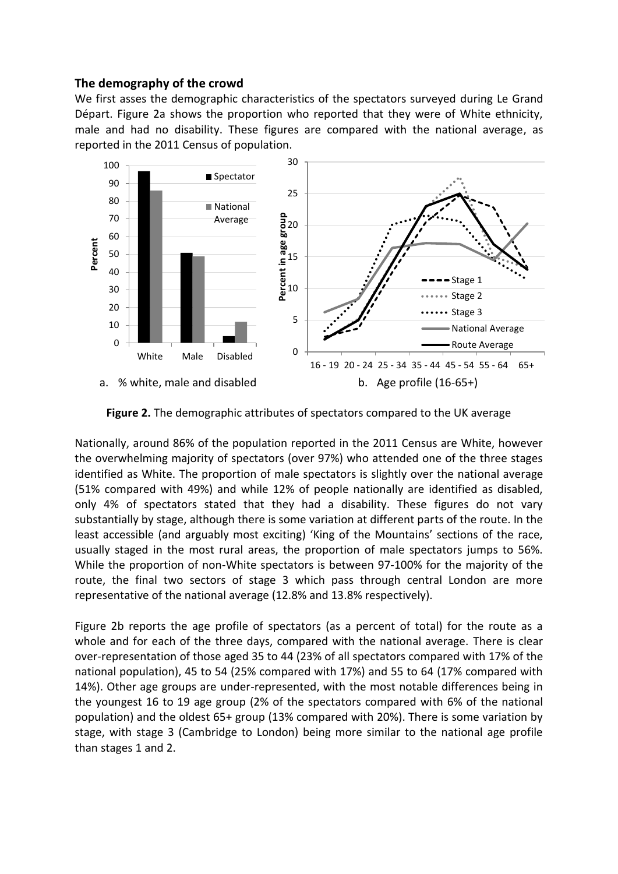## **The demography of the crowd**

We first asses the demographic characteristics of the spectators surveyed during Le Grand Départ. Figure 2a shows the proportion who reported that they were of White ethnicity, male and had no disability. These figures are compared with the national average, as reported in the 2011 Census of population.



**Figure 2.** The demographic attributes of spectators compared to the UK average

Nationally, around 86% of the population reported in the 2011 Census are White, however the overwhelming majority of spectators (over 97%) who attended one of the three stages identified as White. The proportion of male spectators is slightly over the national average (51% compared with 49%) and while 12% of people nationally are identified as disabled, only 4% of spectators stated that they had a disability. These figures do not vary substantially by stage, although there is some variation at different parts of the route. In the least accessible (and arguably most exciting) 'King of the Mountains' sections of the race, usually staged in the most rural areas, the proportion of male spectators jumps to 56%. While the proportion of non-White spectators is between 97-100% for the majority of the route, the final two sectors of stage 3 which pass through central London are more representative of the national average (12.8% and 13.8% respectively).

Figure 2b reports the age profile of spectators (as a percent of total) for the route as a whole and for each of the three days, compared with the national average. There is clear over-representation of those aged 35 to 44 (23% of all spectators compared with 17% of the national population), 45 to 54 (25% compared with 17%) and 55 to 64 (17% compared with 14%). Other age groups are under-represented, with the most notable differences being in the youngest 16 to 19 age group (2% of the spectators compared with 6% of the national population) and the oldest 65+ group (13% compared with 20%). There is some variation by stage, with stage 3 (Cambridge to London) being more similar to the national age profile than stages 1 and 2.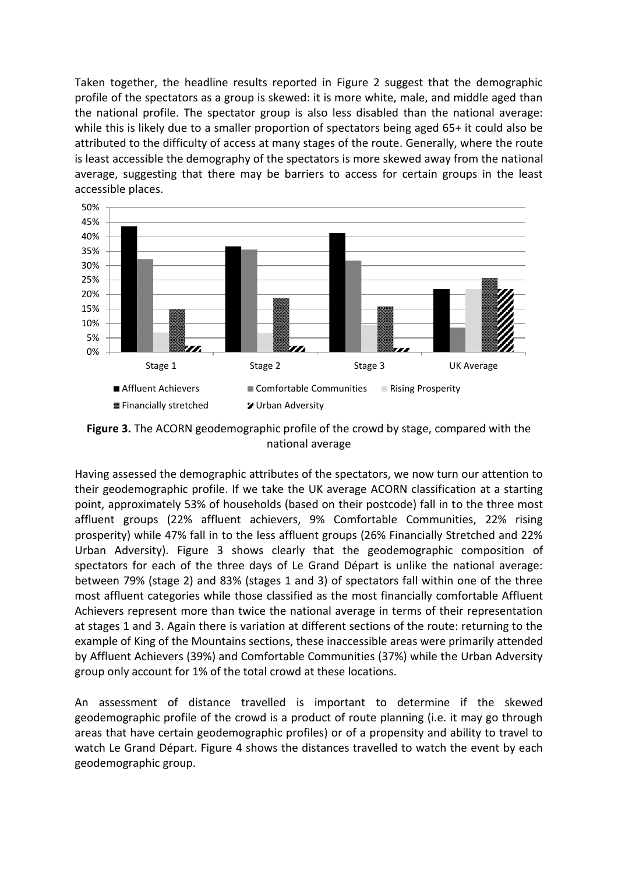Taken together, the headline results reported in Figure 2 suggest that the demographic profile of the spectators as a group is skewed: it is more white, male, and middle aged than the national profile. The spectator group is also less disabled than the national average: while this is likely due to a smaller proportion of spectators being aged 65+ it could also be attributed to the difficulty of access at many stages of the route. Generally, where the route is least accessible the demography of the spectators is more skewed away from the national average, suggesting that there may be barriers to access for certain groups in the least accessible places.



**Figure 3.** The ACORN geodemographic profile of the crowd by stage, compared with the national average

Having assessed the demographic attributes of the spectators, we now turn our attention to their geodemographic profile. If we take the UK average ACORN classification at a starting point, approximately 53% of households (based on their postcode) fall in to the three most affluent groups (22% affluent achievers, 9% Comfortable Communities, 22% rising prosperity) while 47% fall in to the less affluent groups (26% Financially Stretched and 22% Urban Adversity). Figure 3 shows clearly that the geodemographic composition of spectators for each of the three days of Le Grand Départ is unlike the national average: between 79% (stage 2) and 83% (stages 1 and 3) of spectators fall within one of the three most affluent categories while those classified as the most financially comfortable Affluent Achievers represent more than twice the national average in terms of their representation at stages 1 and 3. Again there is variation at different sections of the route: returning to the example of King of the Mountains sections, these inaccessible areas were primarily attended by Affluent Achievers (39%) and Comfortable Communities (37%) while the Urban Adversity group only account for 1% of the total crowd at these locations.

An assessment of distance travelled is important to determine if the skewed geodemographic profile of the crowd is a product of route planning (i.e. it may go through areas that have certain geodemographic profiles) or of a propensity and ability to travel to watch Le Grand Départ. Figure 4 shows the distances travelled to watch the event by each geodemographic group.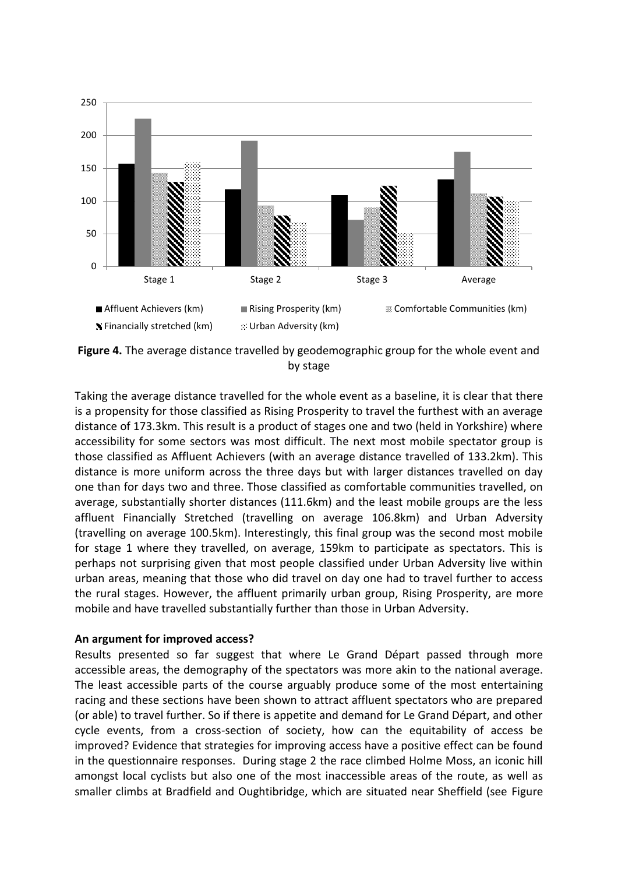

**Figure 4.** The average distance travelled by geodemographic group for the whole event and by stage

Taking the average distance travelled for the whole event as a baseline, it is clear that there is a propensity for those classified as Rising Prosperity to travel the furthest with an average distance of 173.3km. This result is a product of stages one and two (held in Yorkshire) where accessibility for some sectors was most difficult. The next most mobile spectator group is those classified as Affluent Achievers (with an average distance travelled of 133.2km). This distance is more uniform across the three days but with larger distances travelled on day one than for days two and three. Those classified as comfortable communities travelled, on average, substantially shorter distances (111.6km) and the least mobile groups are the less affluent Financially Stretched (travelling on average 106.8km) and Urban Adversity (travelling on average 100.5km). Interestingly, this final group was the second most mobile for stage 1 where they travelled, on average, 159km to participate as spectators. This is perhaps not surprising given that most people classified under Urban Adversity live within urban areas, meaning that those who did travel on day one had to travel further to access the rural stages. However, the affluent primarily urban group, Rising Prosperity, are more mobile and have travelled substantially further than those in Urban Adversity.

#### **An argument for improved access?**

Results presented so far suggest that where Le Grand DÈpart passed through more accessible areas, the demography of the spectators was more akin to the national average. The least accessible parts of the course arguably produce some of the most entertaining racing and these sections have been shown to attract affluent spectators who are prepared (or able) to travel further. So if there is appetite and demand for Le Grand Départ, and other cycle events, from a cross-section of society, how can the equitability of access be improved? Evidence that strategies for improving access have a positive effect can be found in the questionnaire responses. During stage 2 the race climbed Holme Moss, an iconic hill amongst local cyclists but also one of the most inaccessible areas of the route, as well as smaller climbs at Bradfield and Oughtibridge, which are situated near Sheffield (see Figure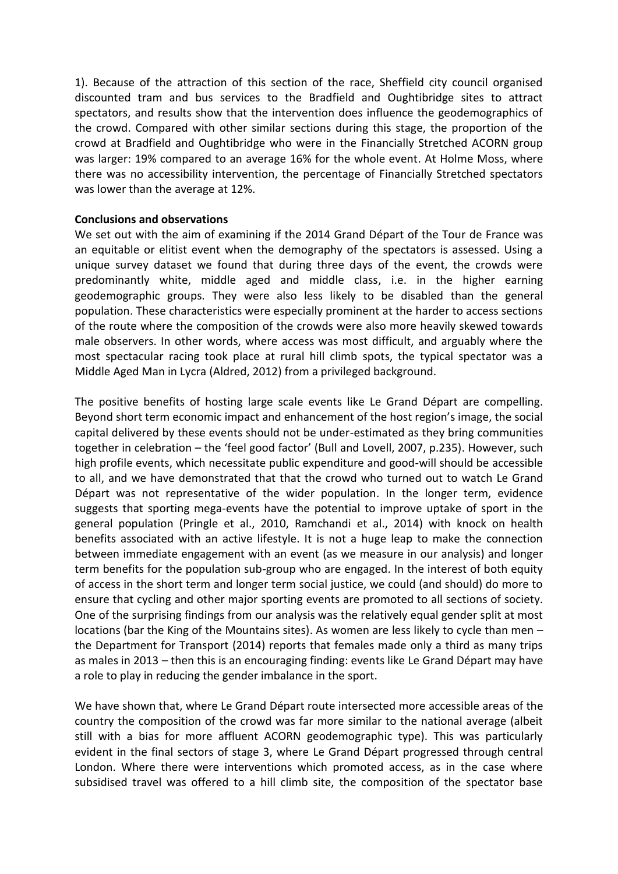1). Because of the attraction of this section of the race, Sheffield city council organised discounted tram and bus services to the Bradfield and Oughtibridge sites to attract spectators, and results show that the intervention does influence the geodemographics of the crowd. Compared with other similar sections during this stage, the proportion of the crowd at Bradfield and Oughtibridge who were in the Financially Stretched ACORN group was larger: 19% compared to an average 16% for the whole event. At Holme Moss, where there was no accessibility intervention, the percentage of Financially Stretched spectators was lower than the average at 12%.

## **Conclusions and observations**

We set out with the aim of examining if the 2014 Grand Départ of the Tour de France was an equitable or elitist event when the demography of the spectators is assessed. Using a unique survey dataset we found that during three days of the event, the crowds were predominantly white, middle aged and middle class, i.e. in the higher earning geodemographic groups. They were also less likely to be disabled than the general population. These characteristics were especially prominent at the harder to access sections of the route where the composition of the crowds were also more heavily skewed towards male observers. In other words, where access was most difficult, and arguably where the most spectacular racing took place at rural hill climb spots, the typical spectator was a Middle Aged Man in Lycra (Aldred, 2012) from a privileged background.

The positive benefits of hosting large scale events like Le Grand Départ are compelling. Beyond short term economic impact and enhancement of the host region's image, the social capital delivered by these events should not be under-estimated as they bring communities together in celebration - the 'feel good factor' (Bull and Lovell, 2007, p.235). However, such high profile events, which necessitate public expenditure and good-will should be accessible to all, and we have demonstrated that that the crowd who turned out to watch Le Grand Départ was not representative of the wider population. In the longer term, evidence suggests that sporting mega-events have the potential to improve uptake of sport in the general population (Pringle et al., 2010, Ramchandi et al., 2014) with knock on health benefits associated with an active lifestyle. It is not a huge leap to make the connection between immediate engagement with an event (as we measure in our analysis) and longer term benefits for the population sub-group who are engaged. In the interest of both equity of access in the short term and longer term social justice, we could (and should) do more to ensure that cycling and other major sporting events are promoted to all sections of society. One of the surprising findings from our analysis was the relatively equal gender split at most locations (bar the King of the Mountains sites). As women are less likely to cycle than men  $$ the Department for Transport (2014) reports that females made only a third as many trips as males in 2013 – then this is an encouraging finding: events like Le Grand Départ may have a role to play in reducing the gender imbalance in the sport.

We have shown that, where Le Grand Départ route intersected more accessible areas of the country the composition of the crowd was far more similar to the national average (albeit still with a bias for more affluent ACORN geodemographic type). This was particularly evident in the final sectors of stage 3, where Le Grand Départ progressed through central London. Where there were interventions which promoted access, as in the case where subsidised travel was offered to a hill climb site, the composition of the spectator base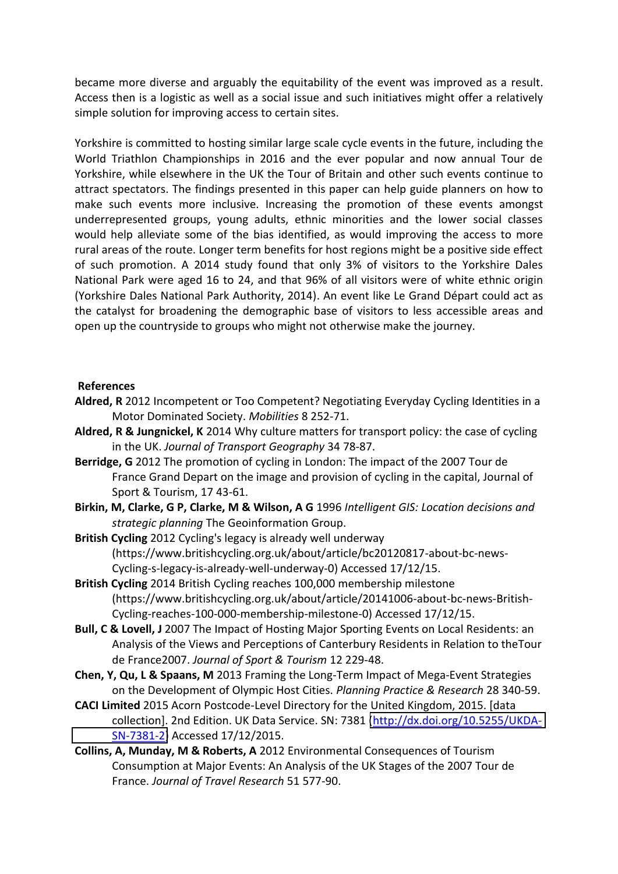became more diverse and arguably the equitability of the event was improved as a result. Access then is a logistic as well as a social issue and such initiatives might offer a relatively simple solution for improving access to certain sites.

Yorkshire is committed to hosting similar large scale cycle events in the future, including the World Triathlon Championships in 2016 and the ever popular and now annual Tour de Yorkshire, while elsewhere in the UK the Tour of Britain and other such events continue to attract spectators. The findings presented in this paper can help guide planners on how to make such events more inclusive. Increasing the promotion of these events amongst underrepresented groups, young adults, ethnic minorities and the lower social classes would help alleviate some of the bias identified, as would improving the access to more rural areas of the route. Longer term benefits for host regions might be a positive side effect of such promotion. A 2014 study found that only 3% of visitors to the Yorkshire Dales National Park were aged 16 to 24, and that 96% of all visitors were of white ethnic origin (Yorkshire Dales National Park Authority, 2014). An event like Le Grand Départ could act as the catalyst for broadening the demographic base of visitors to less accessible areas and open up the countryside to groups who might not otherwise make the journey.

## **References**

- **Aldred, R** 2012 Incompetent or Too Competent? Negotiating Everyday Cycling Identities in a Motor Dominated Society. *Mobilities* 8 252-71.
- **Aldred, R & Jungnickel, K** 2014 Why culture matters for transport policy: the case of cycling in the UK. *Journal of Transport Geography* 34 78-87.
- **Berridge, G** 2012 The promotion of cycling in London: The impact of the 2007 Tour de France Grand Depart on the image and provision of cycling in the capital, Journal of Sport & Tourism, 17 43-61.
- **Birkin, M, Clarke, G P, Clarke, M & Wilson, A G** 1996 *Intelligent GIS: Location decisions and strategic planning* The Geoinformation Group.
- **British Cycling** 2012 Cycling's legacy is already well underway (https://www.britishcycling.org.uk/about/article/bc20120817-about-bc-news-Cycling-s-legacy-is-already-well-underway-0) Accessed 17/12/15.
- **British Cycling** 2014 British Cycling reaches 100,000 membership milestone (https://www.britishcycling.org.uk/about/article/20141006-about-bc-news-British-Cycling-reaches-100-000-membership-milestone-0) Accessed 17/12/15.
- **Bull, C & Lovell, J** 2007 The Impact of Hosting Major Sporting Events on Local Residents: an Analysis of the Views and Perceptions of Canterbury Residents in Relation to theTour de France2007. *Journal of Sport & Tourism* 12 229-48.
- **Chen, Y, Qu, L & Spaans, M** 2013 Framing the Long-Term Impact of Mega-Event Strategies on the Development of Olympic Host Cities. *Planning Practice & Research* 28 340-59.
- **CACI Limited** 2015 Acorn Postcode-Level Directory for the United Kingdom, 2015. [data collection]. 2nd Edition. UK Data Service. SN: 7381 [\(http://dx.doi.org/10.5255/UKDA-](http://dx.doi.org/10.5255/UKDA-SN-7381-2)[SN-7381-2\)](http://dx.doi.org/10.5255/UKDA-SN-7381-2) Accessed 17/12/2015.
- **Collins, A, Munday, M & Roberts, A** 2012 Environmental Consequences of Tourism Consumption at Major Events: An Analysis of the UK Stages of the 2007 Tour de France. *Journal of Travel Research* 51 577-90.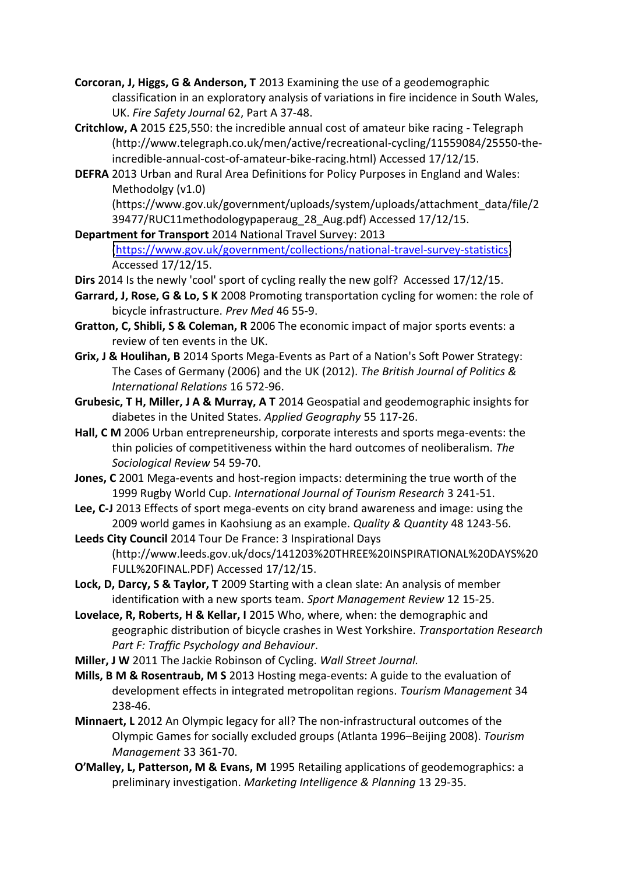- **Corcoran, J, Higgs, G & Anderson, T** 2013 Examining the use of a geodemographic classification in an exploratory analysis of variations in fire incidence in South Wales, UK. *Fire Safety Journal* 62, Part A 37-48.
- **Critchlow, A** 2015 £25,550: the incredible annual cost of amateur bike racing Telegraph (http://www.telegraph.co.uk/men/active/recreational-cycling/11559084/25550-theincredible-annual-cost-of-amateur-bike-racing.html) Accessed 17/12/15.
- **DEFRA** 2013 Urban and Rural Area Definitions for Policy Purposes in England and Wales: Methodolgy (v1.0)

(https://www.gov.uk/government/uploads/system/uploads/attachment\_data/file/2 39477/RUC11methodologypaperaug\_28\_Aug.pdf) Accessed 17/12/15.

**Department for Transport** 2014 National Travel Survey: 2013 [\(https://www.gov.uk/government/collections/national-travel-survey-statistics\)](https://www.gov.uk/government/collections/national-travel-survey-statistics) Accessed 17/12/15.

- **Dirs** 2014 Is the newly 'cool' sport of cycling really the new golf? Accessed 17/12/15.
- **Garrard, J, Rose, G & Lo, S K** 2008 Promoting transportation cycling for women: the role of bicycle infrastructure. *Prev Med* 46 55-9.
- **Gratton, C, Shibli, S & Coleman, R** 2006 The economic impact of major sports events: a review of ten events in the UK.
- **Grix, J & Houlihan, B** 2014 Sports Mega-Events as Part of a Nation's Soft Power Strategy: The Cases of Germany (2006) and the UK (2012). *The British Journal of Politics & International Relations* 16 572-96.
- **Grubesic, T H, Miller, J A & Murray, A T** 2014 Geospatial and geodemographic insights for diabetes in the United States. *Applied Geography* 55 117-26.
- **Hall, C M** 2006 Urban entrepreneurship, corporate interests and sports mega-events: the thin policies of competitiveness within the hard outcomes of neoliberalism. *The Sociological Review* 54 59-70.
- **Jones, C** 2001 Mega-events and host-region impacts: determining the true worth of the 1999 Rugby World Cup. *International Journal of Tourism Research* 3 241-51.
- **Lee, C-J** 2013 Effects of sport mega-events on city brand awareness and image: using the 2009 world games in Kaohsiung as an example. *Quality & Quantity* 48 1243-56.

**Leeds City Council** 2014 Tour De France: 3 Inspirational Days (http://www.leeds.gov.uk/docs/141203%20THREE%20INSPIRATIONAL%20DAYS%20 FULL%20FINAL.PDF) Accessed 17/12/15.

- **Lock, D, Darcy, S & Taylor, T** 2009 Starting with a clean slate: An analysis of member identification with a new sports team. *Sport Management Review* 12 15-25.
- Lovelace, R, Roberts, H & Kellar, I 2015 Who, where, when: the demographic and geographic distribution of bicycle crashes in West Yorkshire. *Transportation Research Part F: Traffic Psychology and Behaviour*.
- **Miller, J W** 2011 The Jackie Robinson of Cycling. *Wall Street Journal.*
- **Mills, B M & Rosentraub, M S** 2013 Hosting mega-events: A guide to the evaluation of development effects in integrated metropolitan regions. *Tourism Management* 34 238-46.
- **Minnaert, L** 2012 An Olympic legacy for all? The non-infrastructural outcomes of the Olympic Games for socially excluded groups (Atlanta 1996–Beijing 2008). *Tourism Management* 33 361-70.
- **O'Malley, L, Patterson, M & Evans, M** 1995 Retailing applications of geodemographics: a preliminary investigation. *Marketing Intelligence & Planning* 13 29-35.